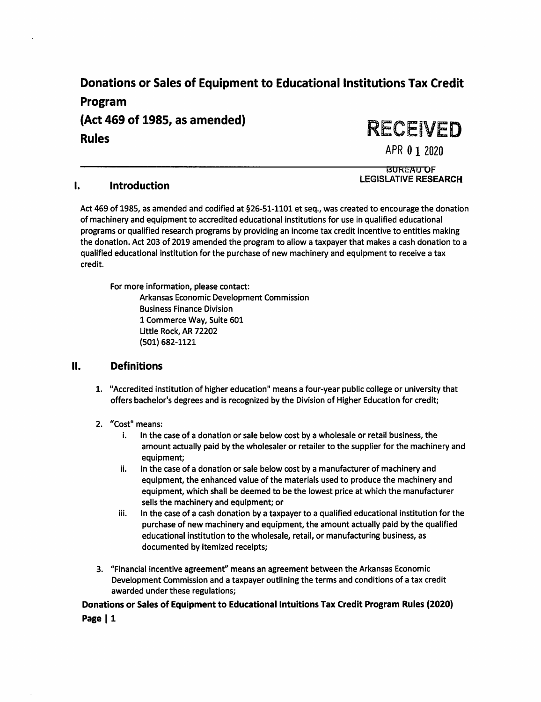## Donations or Sales of Equipment to Educational Institutions Tax Credit

Program (Act 469 of 1985, as amended) **Rules** 

RECEIVED

APR 0 1 2020 **BUREAU OF** 

**LEGISLATIVE RESEARCH** 

#### $\mathbf{l}$ . **Introduction**

Act 469 of 1985, as amended and codified at §26-51-1101 et seq., was created to encourage the donation of machinery and equipment to accredited educational institutions for use in qualified educational programs or qualified research programs by providing an income tax credit incentive to entities making the donation. Act 203 of 2019 amended the program to allow a taxpayer that makes a cash donation to a qualified educational institution for the purchase of new machinery and equipment to receive a tax credit.

For more information, please contact: **Arkansas Economic Development Commission Business Finance Division** 1 Commerce Way, Suite 601 Little Rock, AR 72202 (501) 682-1121

#### $II.$ **Definitions**

1. "Accredited institution of higher education" means a four-year public college or university that offers bachelor's degrees and is recognized by the Division of Higher Education for credit;

### 2. "Cost" means:

- i. In the case of a donation or sale below cost by a wholesale or retail business, the amount actually paid by the wholesaler or retailer to the supplier for the machinery and equipment;
- ii. In the case of a donation or sale below cost by a manufacturer of machinery and equipment, the enhanced value of the materials used to produce the machinery and equipment, which shall be deemed to be the lowest price at which the manufacturer sells the machinery and equipment; or
- In the case of a cash donation by a taxpayer to a qualified educational institution for the iii. purchase of new machinery and equipment, the amount actually paid by the qualified educational institution to the wholesale, retail, or manufacturing business, as documented by itemized receipts;
- 3. "Financial incentive agreement" means an agreement between the Arkansas Economic Development Commission and a taxpayer outlining the terms and conditions of a tax credit awarded under these regulations;

# Donations or Sales of Equipment to Educational Intuitions Tax Credit Program Rules (2020)

Page | 1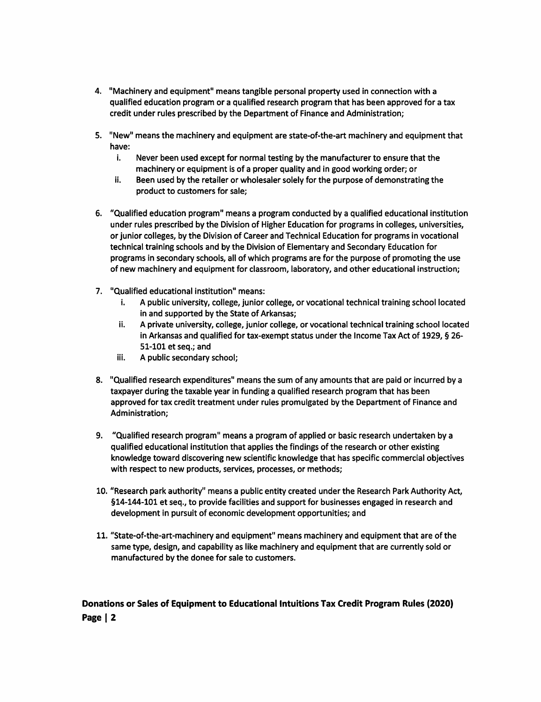- 4. "Machinery and equipment" means tangible personal property used in connection with a qualified education program or a qualified research program that has been approved for a tax credit under rules prescribed by the Department of Finance and Administration;
- 5. "New" means the machinery and equipment are state-of-the-art machinery and equipment that have:
	- i. Never been used except for normal testing by the manufacturer to ensure that the machinery or equipment is of a proper quality and in good working order; or
	- ii. Been used by the retailer or wholesaler solely for the purpose of demonstrating the product to customers for sale;
- 6. "Qualified education program" means a program conducted by a qualified educational institution under rules prescribed by the Division of Higher Education for programs in colleges, universities, or junior colleges, by the Division of Career and Technical Education for programs in vocational technical training schools and by the Division of Elementary and Secondary Education for programs in secondary schools, all of which programs are for the purpose of promoting the use of new machinery and equipment for classroom, laboratory, and other educational instruction;
- 7. "Qualified educational institution" means:
	- A public university, college, junior college, or vocational technical training school located i. in and supported by the State of Arkansas;
	- A private university, college, junior college, or vocational technical training school located ii. in Arkansas and qualified for tax-exempt status under the Income Tax Act of 1929, § 26-51-101 et seq.; and
	- iii. A public secondary school;
- 8. "Qualified research expenditures" means the sum of any amounts that are paid or incurred by a taxpayer during the taxable year in funding a qualified research program that has been approved for tax credit treatment under rules promulgated by the Department of Finance and Administration;
- 9. "Qualified research program" means a program of applied or basic research undertaken by a qualified educational institution that applies the findings of the research or other existing knowledge toward discovering new scientific knowledge that has specific commercial objectives with respect to new products, services, processes, or methods;
- 10. "Research park authority" means a public entity created under the Research Park Authority Act, §14-144-101 et seq., to provide facilities and support for businesses engaged in research and development in pursuit of economic development opportunities; and
- 11. "State-of-the-art-machinery and equipment" means machinery and equipment that are of the same type, design, and capability as like machinery and equipment that are currently sold or manufactured by the donee for sale to customers.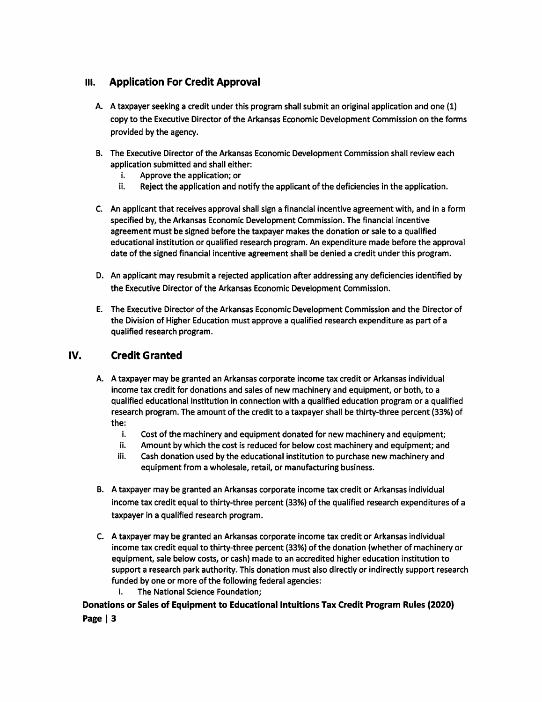#### **Application For Credit Approval**  $III.$

- A. A taxpayer seeking a credit under this program shall submit an original application and one (1) copy to the Executive Director of the Arkansas Economic Development Commission on the forms provided by the agency.
- B. The Executive Director of the Arkansas Economic Development Commission shall review each application submitted and shall either:
	- i. Approve the application; or
	- ii. Reject the application and notify the applicant of the deficiencies in the application.
- C. An applicant that receives approval shall sign a financial incentive agreement with, and in a form specified by, the Arkansas Economic Development Commission. The financial incentive agreement must be signed before the taxpayer makes the donation or sale to a qualified educational institution or qualified research program. An expenditure made before the approval date of the signed financial incentive agreement shall be denied a credit under this program.
- D. An applicant may resubmit a rejected application after addressing any deficiencies identified by the Executive Director of the Arkansas Economic Development Commission.
- E. The Executive Director of the Arkansas Economic Development Commission and the Director of the Division of Higher Education must approve a qualified research expenditure as part of a qualified research program.

#### IV. **Credit Granted**

- A. A taxpayer may be granted an Arkansas corporate income tax credit or Arkansas individual income tax credit for donations and sales of new machinery and equipment, or both, to a qualified educational institution in connection with a qualified education program or a qualified research program. The amount of the credit to a taxpayer shall be thirty-three percent (33%) of the:
	- i. Cost of the machinery and equipment donated for new machinery and equipment;
	- ii. Amount by which the cost is reduced for below cost machinery and equipment; and
	- iii. Cash donation used by the educational institution to purchase new machinery and equipment from a wholesale, retail, or manufacturing business.
- B. A taxpayer may be granted an Arkansas corporate income tax credit or Arkansas individual income tax credit equal to thirty-three percent (33%) of the qualified research expenditures of a taxpayer in a qualified research program.
- C. A taxpayer may be granted an Arkansas corporate income tax credit or Arkansas individual income tax credit equal to thirty-three percent (33%) of the donation (whether of machinery or equipment, sale below costs, or cash) made to an accredited higher education institution to support a research park authority. This donation must also directly or indirectly support research funded by one or more of the following federal agencies:
	- i. The National Science Foundation;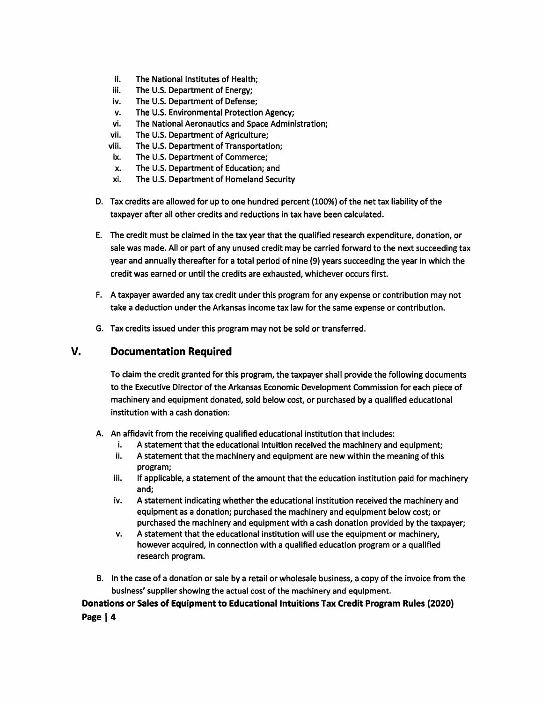- ii. The National Institutes of Health:
- iii. The U.S. Department of Energy;
- iv. The U.S. Department of Defense;
- The U.S. Environmental Protection Agency; v.
- vi. The National Aeronautics and Space Administration;
- vii. The U.S. Department of Agriculture;
- viii. The U.S. Department of Transportation;
- The U.S. Department of Commerce; ix.
- The U.S. Department of Education; and x.
- xi. The U.S. Department of Homeland Security
- D. Tax credits are allowed for up to one hundred percent (100%) of the net tax liability of the taxpayer after all other credits and reductions in tax have been calculated.
- E. The credit must be claimed in the tax year that the qualified research expenditure, donation, or sale was made. All or part of any unused credit may be carried forward to the next succeeding tax year and annually thereafter for a total period of nine (9) years succeeding the year in which the credit was earned or until the credits are exhausted, whichever occurs first.
- F. A taxpayer awarded any tax credit under this program for any expense or contribution may not take a deduction under the Arkansas income tax law for the same expense or contribution.
- G. Tax credits issued under this program may not be sold or transferred.

#### V. **Documentation Required**

To claim the credit granted for this program, the taxpayer shall provide the following documents to the Executive Director of the Arkansas Economic Development Commission for each piece of machinery and equipment donated, sold below cost, or purchased by a qualified educational institution with a cash donation:

- A. An affidavit from the receiving qualified educational institution that includes:
	- A statement that the educational intuition received the machinery and equipment; j.
	- ii. A statement that the machinery and equipment are new within the meaning of this program;
	- iii. If applicable, a statement of the amount that the education institution paid for machinery and:
	- iv. A statement indicating whether the educational institution received the machinery and equipment as a donation; purchased the machinery and equipment below cost; or purchased the machinery and equipment with a cash donation provided by the taxpayer;
	- v. A statement that the educational institution will use the equipment or machinery, however acquired, in connection with a qualified education program or a qualified research program.
- B. In the case of a donation or sale by a retail or wholesale business, a copy of the invoice from the business' supplier showing the actual cost of the machinery and equipment.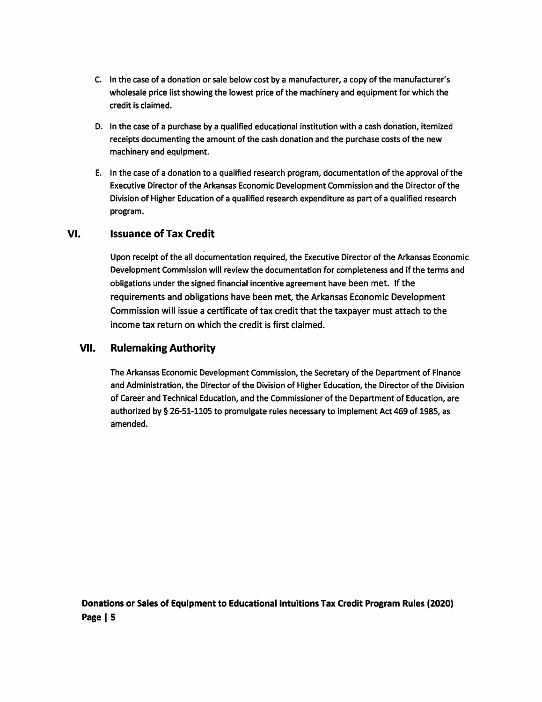- C. In the case of a donation or sale below cost by a manufacturer, a copy of the manufacturer's wholesale price list showing the lowest price of the machinery and equipment for which the credit is claimed.
- D. In the case of a purchase by a qualified educational institution with a cash donation, itemized receipts documenting the amount of the cash donation and the purchase costs of the new machinery and equipment.
- E. In the case of a donation to a qualified research program, documentation of the approval of the Executive Director of the Arkansas Economic Development Commission and the Director of the Division of Higher Education of a qualified research expenditure as part of a qualified research program.

#### VI. **Issuance of Tax Credit**

Upon receipt of the all documentation required, the Executive Director of the Arkansas Economic Development Commission will review the documentation for completeness and if the terms and obligations under the signed financial incentive agreement have been met. If the requirements and obligations have been met, the Arkansas Economic Development Commission will issue a certificate of tax credit that the taxpayer must attach to the income tax return on which the credit is first claimed.

#### VII. **Rulemaking Authority**

The Arkansas Economic Development Commission, the Secretary of the Department of Finance and Administration, the Director of the Division of Higher Education, the Director of the Division of Career and Technical Education, and the Commissioner of the Department of Education, are authorized by § 26-51-1105 to promulgate rules necessary to implement Act 469 of 1985, as amended.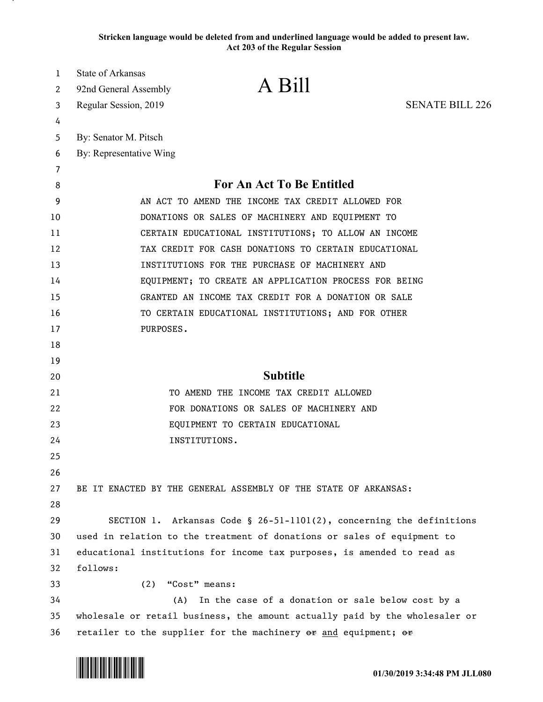**Stricken language would be deleted from and underlined language would be added to present law. Act 203 of the Regular Session**

| 1  | <b>State of Arkansas</b>                                                    |
|----|-----------------------------------------------------------------------------|
| 2  | A Bill<br>92nd General Assembly                                             |
| 3  | <b>SENATE BILL 226</b><br>Regular Session, 2019                             |
| 4  |                                                                             |
| 5  | By: Senator M. Pitsch                                                       |
| 6  | By: Representative Wing                                                     |
| 7  |                                                                             |
| 8  | For An Act To Be Entitled                                                   |
| 9  | AN ACT TO AMEND THE INCOME TAX CREDIT ALLOWED FOR                           |
| 10 | DONATIONS OR SALES OF MACHINERY AND EQUIPMENT TO                            |
| 11 | CERTAIN EDUCATIONAL INSTITUTIONS; TO ALLOW AN INCOME                        |
| 12 | TAX CREDIT FOR CASH DONATIONS TO CERTAIN EDUCATIONAL                        |
| 13 | INSTITUTIONS FOR THE PURCHASE OF MACHINERY AND                              |
| 14 | EQUIPMENT; TO CREATE AN APPLICATION PROCESS FOR BEING                       |
| 15 | GRANTED AN INCOME TAX CREDIT FOR A DONATION OR SALE                         |
| 16 | TO CERTAIN EDUCATIONAL INSTITUTIONS; AND FOR OTHER                          |
| 17 | PURPOSES.                                                                   |
| 18 |                                                                             |
| 19 |                                                                             |
| 20 | <b>Subtitle</b>                                                             |
| 21 | TO AMEND THE INCOME TAX CREDIT ALLOWED                                      |
| 22 | FOR DONATIONS OR SALES OF MACHINERY AND                                     |
| 23 | EQUIPMENT TO CERTAIN EDUCATIONAL                                            |
| 24 | INSTITUTIONS.                                                               |
| 25 |                                                                             |
| 26 |                                                                             |
| 27 | BE IT ENACTED BY THE GENERAL ASSEMBLY OF THE STATE OF ARKANSAS:             |
| 28 |                                                                             |
| 29 | SECTION 1. Arkansas Code § 26-51-1101(2), concerning the definitions        |
| 30 | used in relation to the treatment of donations or sales of equipment to     |
| 31 | educational institutions for income tax purposes, is amended to read as     |
| 32 | follows:                                                                    |
| 33 | (2)<br>"Cost" means:                                                        |
| 34 | (A)<br>In the case of a donation or sale below cost by a                    |
| 35 | wholesale or retail business, the amount actually paid by the wholesaler or |
| 36 | retailer to the supplier for the machinery or and equipment; or             |

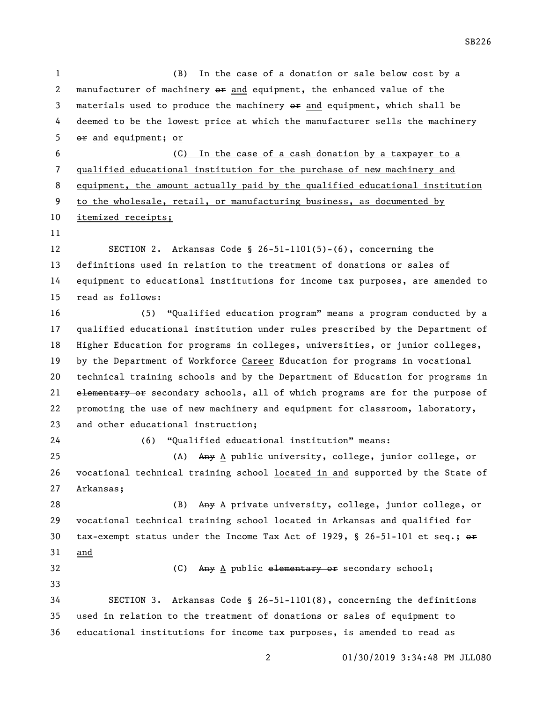(B) In the case of a donation or sale below cost by a 2 manufacturer of machinery  $\theta$  and equipment, the enhanced value of the 3 materials used to produce the machinery  $\Theta$  and equipment, which shall be deemed to be the lowest price at which the manufacturer sells the machinery or and equipment; or (C) In the case of a cash donation by a taxpayer to a qualified educational institution for the purchase of new machinery and equipment, the amount actually paid by the qualified educational institution to the wholesale, retail, or manufacturing business, as documented by itemized receipts; SECTION 2. Arkansas Code § 26-51-1101(5)-(6), concerning the definitions used in relation to the treatment of donations or sales of equipment to educational institutions for income tax purposes, are amended to read as follows: (5) "Qualified education program" means a program conducted by a qualified educational institution under rules prescribed by the Department of Higher Education for programs in colleges, universities, or junior colleges, 19 by the Department of Workforce Career Education for programs in vocational technical training schools and by the Department of Education for programs in 21 elementary or secondary schools, all of which programs are for the purpose of promoting the use of new machinery and equipment for classroom, laboratory, and other educational instruction; (6) "Qualified educational institution" means: 25 (A) Any A public university, college, junior college, or vocational technical training school located in and supported by the State of Arkansas; 28 (B) Any A private university, college, junior college, or vocational technical training school located in Arkansas and qualified for 30 tax-exempt status under the Income Tax Act of 1929, § 26-51-101 et seq.;  $\theta$  and 32 (C) Any A public elementary or secondary school; SECTION 3. Arkansas Code § 26-51-1101(8), concerning the definitions used in relation to the treatment of donations or sales of equipment to educational institutions for income tax purposes, is amended to read as

SB226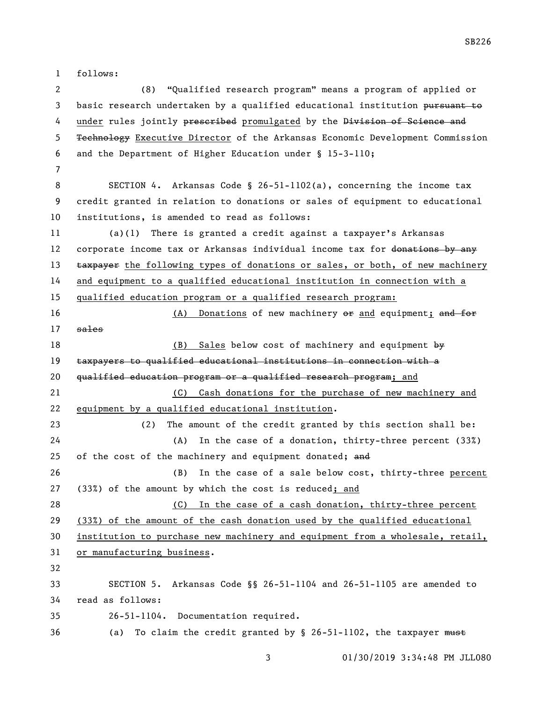follows:

 (8) "Qualified research program" means a program of applied or 3 basic research undertaken by a qualified educational institution pursuant to 4 under rules jointly preseribed promulgated by the Division of Science and Technology Executive Director of the Arkansas Economic Development Commission and the Department of Higher Education under § 15-3-110; SECTION 4. Arkansas Code § 26-51-1102(a), concerning the income tax credit granted in relation to donations or sales of equipment to educational institutions, is amended to read as follows: (a)(1) There is granted a credit against a taxpayer's Arkansas 12 corporate income tax or Arkansas individual income tax for donations by any 13 taxpayer the following types of donations or sales, or both, of new machinery and equipment to a qualified educational institution in connection with a qualified education program or a qualified research program: 16 (A) Donations of new machinery  $\theta$  and equipment; and for sales 18 (B) Sales below cost of machinery and equipment by taxpayers to qualified educational institutions in connection with a 20 qualified education program or a qualified research program; and (C) Cash donations for the purchase of new machinery and equipment by a qualified educational institution. (2) The amount of the credit granted by this section shall be: (A) In the case of a donation, thirty-three percent (33%) 25 of the cost of the machinery and equipment donated; and (B) In the case of a sale below cost, thirty-three percent (33%) of the amount by which the cost is reduced; and (C) In the case of a cash donation, thirty-three percent (33%) of the amount of the cash donation used by the qualified educational institution to purchase new machinery and equipment from a wholesale, retail, or manufacturing business. SECTION 5. Arkansas Code §§ 26-51-1104 and 26-51-1105 are amended to read as follows: 26-51-1104. Documentation required. 36 (a) To claim the credit granted by § 26-51-1102, the taxpayer must

SB226

01/30/2019 3:34:48 PM JLL080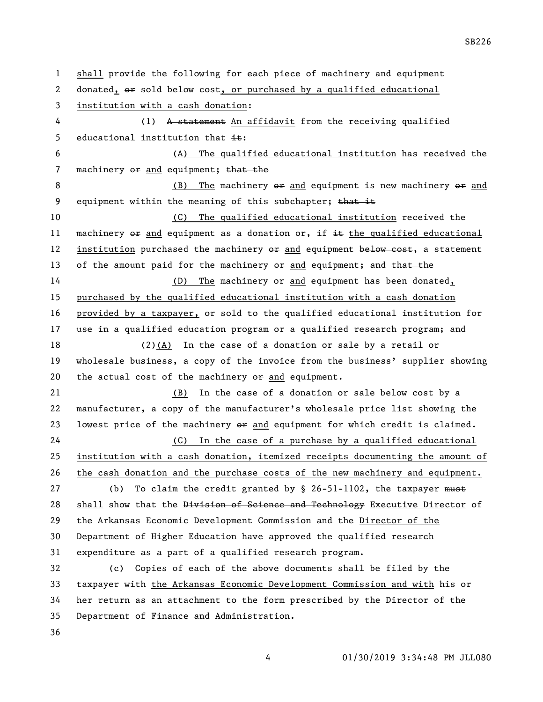shall provide the following for each piece of machinery and equipment 2 donated,  $\Theta$  sold below cost, or purchased by a qualified educational institution with a cash donation: (1) A statement An affidavit from the receiving qualified 5 educational institution that  $\pm$ : (A) The qualified educational institution has received the 7 machinery  $e$  and equipment; that the 8 (B) The machinery  $e \neq 0$  and equipment is new machinery  $e \neq 0$  and 9 equipment within the meaning of this subchapter; that it (C) The qualified educational institution received the 11 machinery  $\Theta$  and equipment as a donation or, if  $\pm \epsilon$  the qualified educational 12 institution purchased the machinery  $\theta$  and equipment below cost, a statement 13 of the amount paid for the machinery  $e\mathbf{r}$  and equipment; and that the 14 (D) The machinery  $\Theta$  and equipment has been donated, purchased by the qualified educational institution with a cash donation provided by a taxpayer, or sold to the qualified educational institution for use in a qualified education program or a qualified research program; and (2)(A) In the case of a donation or sale by a retail or wholesale business, a copy of the invoice from the business' supplier showing 20 the actual cost of the machinery  $e\mathbf{r}$  and equipment. (B) In the case of a donation or sale below cost by a manufacturer, a copy of the manufacturer's wholesale price list showing the 23 lowest price of the machinery  $e\text{F}$  and equipment for which credit is claimed. (C) In the case of a purchase by a qualified educational institution with a cash donation, itemized receipts documenting the amount of the cash donation and the purchase costs of the new machinery and equipment. 27 (b) To claim the credit granted by  $\S$  26-51-1102, the taxpayer must 28 shall show that the Division of Science and Technology Executive Director of the Arkansas Economic Development Commission and the Director of the Department of Higher Education have approved the qualified research expenditure as a part of a qualified research program. (c) Copies of each of the above documents shall be filed by the taxpayer with the Arkansas Economic Development Commission and with his or her return as an attachment to the form prescribed by the Director of the Department of Finance and Administration.